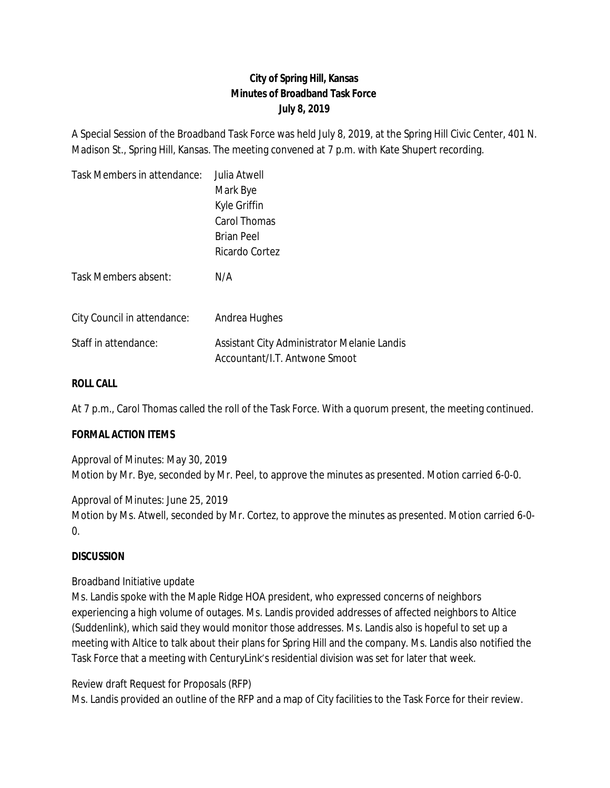# **City of Spring Hill, Kansas Minutes of Broadband Task Force July 8, 2019**

A Special Session of the Broadband Task Force was held July 8, 2019, at the Spring Hill Civic Center, 401 N. Madison St., Spring Hill, Kansas. The meeting convened at 7 p.m. with Kate Shupert recording.

| Task Members in attendance: | Julia Atwell                                                                 |
|-----------------------------|------------------------------------------------------------------------------|
|                             | Mark Bye                                                                     |
|                             | Kyle Griffin                                                                 |
|                             | Carol Thomas                                                                 |
|                             | <b>Brian Peel</b>                                                            |
|                             | Ricardo Cortez                                                               |
| Task Members absent:        | N/A                                                                          |
| City Council in attendance: | Andrea Hughes                                                                |
| Staff in attendance:        | Assistant City Administrator Melanie Landis<br>Accountant/I.T. Antwone Smoot |

### **ROLL CALL**

At 7 p.m., Carol Thomas called the roll of the Task Force. With a quorum present, the meeting continued.

#### **FORMAL ACTION ITEMS**

Approval of Minutes: May 30, 2019 Motion by Mr. Bye, seconded by Mr. Peel, to approve the minutes as presented. Motion carried 6-0-0.

Approval of Minutes: June 25, 2019 Motion by Ms. Atwell, seconded by Mr. Cortez, to approve the minutes as presented. Motion carried 6-0- 0.

#### **DISCUSSION**

#### Broadband Initiative update

Ms. Landis spoke with the Maple Ridge HOA president, who expressed concerns of neighbors experiencing a high volume of outages. Ms. Landis provided addresses of affected neighbors to Altice (Suddenlink), which said they would monitor those addresses. Ms. Landis also is hopeful to set up a meeting with Altice to talk about their plans for Spring Hill and the company. Ms. Landis also notified the Task Force that a meeting with CenturyLink's residential division was set for later that week.

Review draft Request for Proposals (RFP)

Ms. Landis provided an outline of the RFP and a map of City facilities to the Task Force for their review.